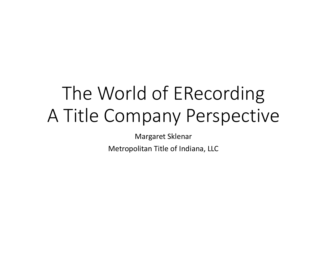# The World of ERecordingA Title Company Perspective

Margaret Sklenar

Metropolitan Title of Indiana, LLC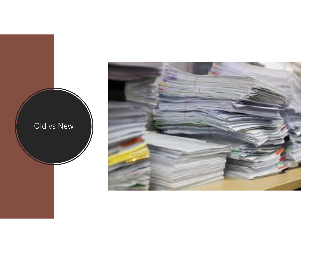

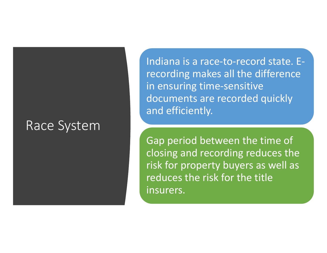#### Race System

Indiana is a race-to-record state. Erecording makes all the difference in ensuring time-sensitive documents are recorded quickly and efficiently.

Gap period between the time of closing and recording reduces the risk for property buyers as well as reduces the risk for the title insurers.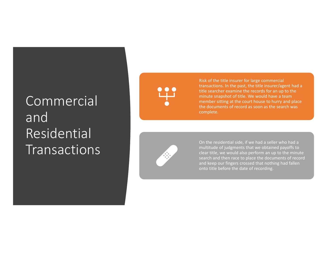# Commercial and Residential Transactions

Risk of the title insurer for large commercial transactions. In the past, the title insurer/agent had a title searcher examine the records for an up to theminute snapshot of title. We would have a team member sitting at the court house to hurry and place the documents of record as soon as the search was complete.



On the residential side, if we had a seller who had a multitude of judgments that we obtained payoffs to clear title, we would also perform an up to the minute search and then race to place the documents of record and keep our fingers crossed that nothing had fallen onto title before the date of recording.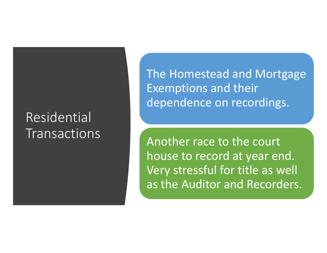### Residential Transactions

The Homestead and Mortgage Exemptions and their dependence on recordings.

Another race to the court house to record at year end. Very stressful for title as well as the Auditor and Recorders.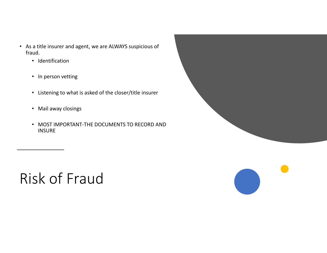- As a title insurer and agent, we are ALWAYS suspicious of fraud.
	- Identification
	- In person vetting
	- Listening to what is asked of the closer/title insurer
	- Mail away closings
	- MOST IMPORTANT-THE DOCUMENTS TO RECORD AND **INSURE**

# Risk of Fraud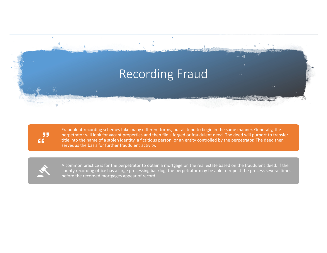

99 66

Fraudulent recording schemes take many different forms, but all tend to begin in the same manner. Generally, the perpetrator will look for vacant properties and then file a forged or fraudulent deed. The deed will purport to transfer title into the name of a stolen identity, a fictitious person, or an entity controlled by the perpetrator. The deed then serves as the basis for further fraudulent activity.



A common practice is for the perpetrator to obtain a mortgage on the real estate based on the fraudulent deed. If the county recording office has a large processing backlog, the perpetrator may be able to repeat the process several times before the recorded mortgages appear of record.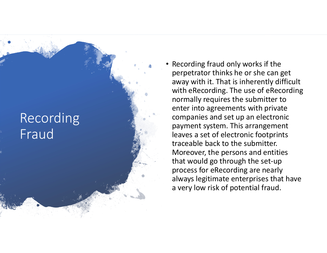# Recording Fraud

• Recording fraud only works if the perpetrator thinks he or she can get away with it. That is inherently difficult with eRecording. The use of eRecording normally requires the submitter to enter into agreements with private companies and set up an electronic payment system. This arrangement leaves a set of electronic footprints traceable back to the submitter. Moreover, the persons and entities that would go through the set-up process for eRecording are nearly always legitimate enterprises that have a very low risk of potential fraud.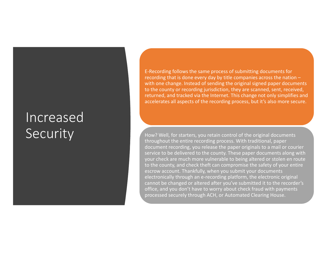### Increased Security

E-Recording follows the same process of submitting documents for recording that is done every day by title companies across the nation – with one change. Instead of sending the original signed paper documents to the county or recording jurisdiction, they are scanned, sent, received, returned, and tracked via the Internet. This change not only simplifies and accelerates all aspects of the recording process, but it's also more secure.

How? Well, for starters, you retain control of the original documents throughout the entire recording process. With traditional, paper document recording, you release the paper originals to a mail or courier service to be delivered to the county. These paper documents along with your check are much more vulnerable to being altered or stolen en route to the county, and check theft can compromise the safety of your entire escrow account. Thankfully, when you submit your documents electronically through an e-recording platform, the electronic original cannot be changed or altered after you've submitted it to the recorder's office, and you don't have to worry about check fraud with payments processed securely through ACH, or Automated Clearing House.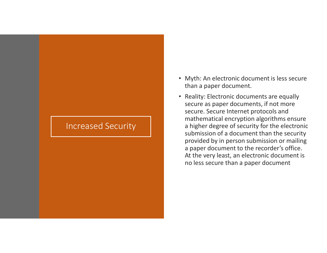#### Increased Security

- Myth: An electronic document is less secure than a paper document.
- Reality: Electronic documents are equally secure as paper documents, if not more secure. Secure Internet protocols and mathematical encryption algorithms ensure a higher degree of security for the electronic submission of a document than the security provided by in person submission or mailing a paper document to the recorder's office. At the very least, an electronic document is no less secure than a paper document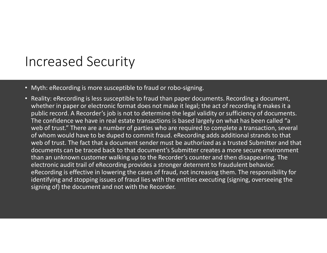## Increased Security

- Myth: eRecording is more susceptible to fraud or robo-signing.
- Reality: eRecording is less susceptible to fraud than paper documents. Recording a document, whether in paper or electronic format does not make it legal; the act of recording it makes it a public record. A Recorder's job is not to determine the legal validity or sufficiency of documents. The confidence we have in real estate transactions is based largely on what has been called "a web of trust." There are a number of parties who are required to complete a transaction, several of whom would have to be duped to commit fraud. eRecording adds additional strands to that web of trust. The fact that a document sender must be authorized as a trusted Submitter and that documents can be traced back to that document's Submitter creates a more secure environment than an unknown customer walking up to the Recorder's counter and then disappearing. The electronic audit trail of eRecording provides a stronger deterrent to fraudulent behavior. eRecording is effective in lowering the cases of fraud, not increasing them. The responsibility for identifying and stopping issues of fraud lies with the entities executing (signing, overseeing the signing of) the document and not with the Recorder.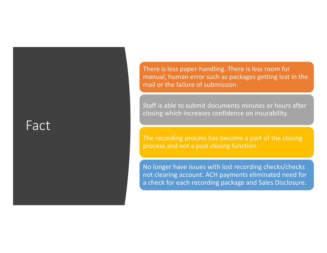#### Fact

There is less paper-handling. There is less room for manual, human error such as packages getting lost in the mail or the failure of submission.

Staff is able to submit documents minutes or hours after closing which increases confidence on insurability.

The recording process has become a part of the closing process and not a post closing function.

No longer have issues with lost recording checks/checks not clearing account. ACH payments eliminated need for a check for each recording package and Sales Disclosure.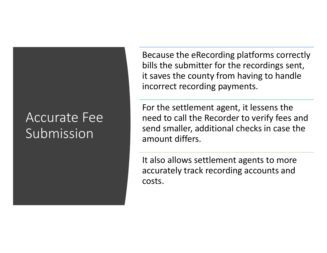### Accurate Fee Submission

Because the eRecording platforms correctly bills the submitter for the recordings sent, it saves the county from having to handle incorrect recording payments.

For the settlement agent, it lessens the need to call the Recorder to verify fees and send smaller, additional checks in case the amount differs.

It also allows settlement agents to more accurately track recording accounts and costs.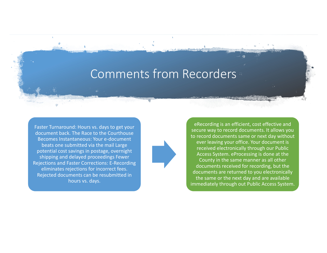#### Comments from Recorders

Faster Turnaround: Hours vs. days to get your document back. The Race to the Courthouse Becomes Instantaneous: Your e-document beats one submitted via the mail Large potential cost savings in postage, overnight shipping and delayed proceedings Fewer Rejections and Faster Corrections: E-Recording eliminates rejections for incorrect fees. Rejected documents can be resubmitted in hours vs. days.



eRecording is an efficient, cost effective and secure way to record documents. It allows you to record documents same or next day without ever leaving your office. Your document is received electronically through our Public Access System. eProcessing is done at the County in the same manner as all other documents received for recording, but the documents are returned to you electronically the same or the next day and are available immediately through out Public Access System.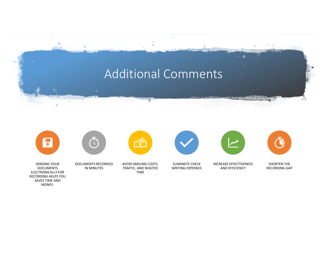# Additional Comments





DOCUMENTS RECORDED IN MINUTES



AVOID MAILING COSTS, TRAFFIC, AND WASTED TIME



ELIMINATE CHECK WRITING EXPENSES

INCREASE EFFECTIVENESS AND EFFICIENCY

SHORTEN THE RECORDING GAP

SENDING YOUR DOCUMENTS ELECTRONICALLY FOR RECORDING HELPS YOU SAVES TIME AND MONEY.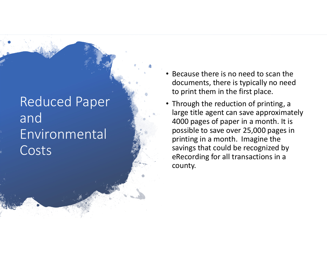# Reduced Paper and Environmental Costs

- • Because there is no need to scan the documents, there is typically no need to print them in the first place.
- Through the reduction of printing, a large title agent can save approximately 4000 pages of paper in a month. It is possible to save over 25,000 pages in printing in a month. Imagine the savings that could be recognized by eRecording for all transactions in a county.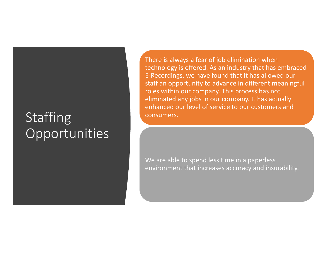# Staffing Opportunities

There is always a fear of job elimination when technology is offered. As an industry that has embraced E-Recordings, we have found that it has allowed our staff an opportunity to advance in different meaningful roles within our company. This process has not eliminated any jobs in our company. It has actually enhanced our level of service to our customers and consumers.

We are able to spend less time in a paperless environment that increases accuracy and insurability.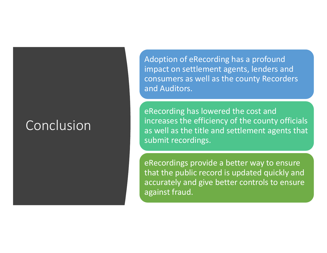### Conclusion

Adoption of eRecording has a profound impact on settlement agents, lenders and consumers as well as the county Recorders and Auditors.

eRecording has lowered the cost and increases the efficiency of the county officials as well as the title and settlement agents that submit recordings.

eRecordings provide a better way to ensure that the public record is updated quickly and accurately and give better controls to ensure against fraud.